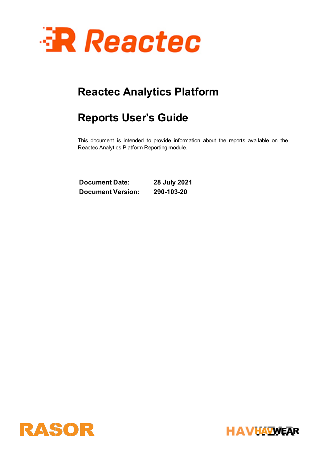

# **Reports User's Guide**

This document is intended to provide information about the reports available on the Reactec Analytics Platform Reporting module.

**Document Date: 28 July 2021 Document Version: 290-103-20**



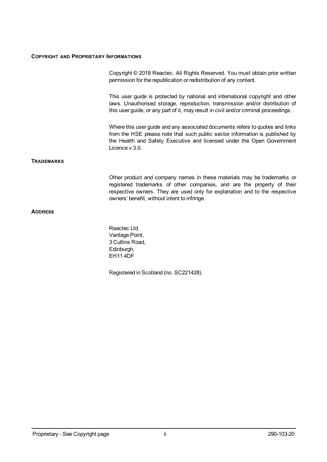#### **COPYRIGHT AND PROPRIETARY INFORMATIONS**

|            | Copyright © 2018 Reactec. All Rights Reserved. You must obtain prior written<br>permission for the republication or redistribution of any content.                                                                                                                                |
|------------|-----------------------------------------------------------------------------------------------------------------------------------------------------------------------------------------------------------------------------------------------------------------------------------|
|            | This user guide is protected by national and international copyright and other<br>laws. Unauthorised storage, reproduction, transmission and/or distribution of<br>this user guide, or any part of it, may result in civil and/or criminal proceedings.                           |
|            | Where this user guide and any associated documents refers to quotes and links<br>from the HSE please note that such public sector information is published by<br>the Health and Safety Executive and licensed under the Open Government<br>Licence $v$ 3.0.                       |
| TRADEMARKS |                                                                                                                                                                                                                                                                                   |
|            | Other product and company names in these materials may be trademarks or<br>registered trademarks of other companies, and are the property of their<br>respective owners. They are used only for explanation and to the respective<br>owners' benefit, without intent to infringe. |
| ADDRESS    |                                                                                                                                                                                                                                                                                   |
|            |                                                                                                                                                                                                                                                                                   |

Reactec Ltd. Vantage Point, 3 Cultins Road, Edinburgh, EH11 4DF

Registered in Scotland (no. SC221428).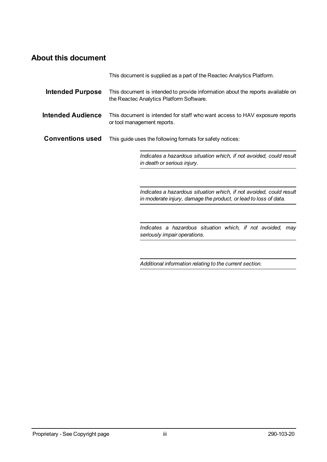### <span id="page-2-0"></span>**About this document**

|                          | This document is supplied as a part of the Reactec Analytics Platform.                                                                  |
|--------------------------|-----------------------------------------------------------------------------------------------------------------------------------------|
| <b>Intended Purpose</b>  | This document is intended to provide information about the reports available on<br>the Reactec Analytics Platform Software.             |
| <b>Intended Audience</b> | This document is intended for staff who want access to HAV exposure reports<br>or tool management reports.                              |
| <b>Conventions used</b>  | This guide uses the following formats for safety notices:                                                                               |
|                          | Indicates a hazardous situation which, if not avoided, could result<br>in death or serious injury.                                      |
|                          | Indicates a hazardous situation which, if not avoided, could result<br>in moderate injury, damage the product, or lead to loss of data. |
|                          | Indicates a hazardous situation which, if not avoided, may<br>seriously impair operations.                                              |

*Additional information relating to the current section.*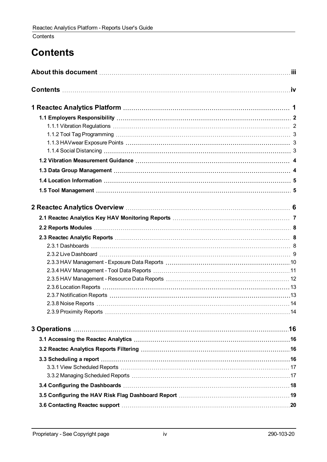### <span id="page-3-0"></span>**Contents**

# **Contents**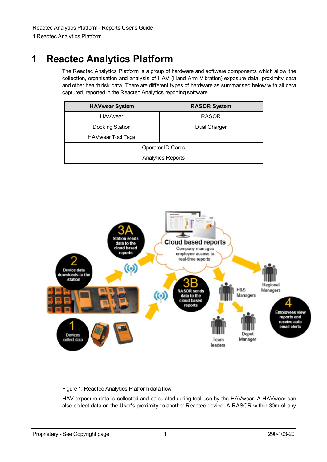# <span id="page-4-0"></span>**1 Reactec Analytics Platform**

The Reactec Analytics Platform is a group of hardware and software components which allow the collection, organisation and analysis of HAV (Hand Arm Vibration) exposure data, proximity data and other health risk data. There are different types of hardware as summarised below with all data captured, reported in the Reactec Analytics reporting software.

| <b>HAVwear System</b> | <b>RASOR System</b>      |
|-----------------------|--------------------------|
| <b>HAVwear</b>        | <b>RASOR</b>             |
| Docking Station       | Dual Charger             |
| HAVwear Tool Tags     |                          |
|                       | Operator ID Cards        |
|                       | <b>Analytics Reports</b> |



Figure 1: Reactec Analytics Platform data flow

HAV exposure data is collected and calculated during tool use by the HAVwear. A HAVwear can also collect data on the User's proximity to another Reactec device. A RASOR within 30m of any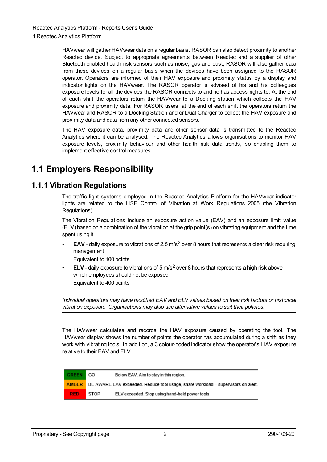HAVwear will gather HAVwear data on a regular basis. RASOR can also detect proximity to another Reactec device. Subject to appropriate agreements between Reactec and a supplier of other Bluetooth enabled health risk sensors such as noise, gas and dust, RASOR will also gather data from these devices on a regular basis when the devices have been assigned to the RASOR operator. Operators are informed of their HAV exposure and proximity status by a display and indicator lights on the HAVwear. The RASOR operator is advised of his and his colleagues exposure levels for all the devices the RASOR connects to and he has access rights to. At the end of each shift the operators return the HAVwear to a Docking station which collects the HAV exposure and proximity data. For RASOR users; at the end of each shift the operators return the HAVwear and RASOR to a Docking Station and or Dual Charger to collect the HAV exposure and proximity data and data from any other connected sensors.

The HAV exposure data, proximity data and other sensor data is transmitted to the Reactec Analytics where it can be analysed. The Reactec Analytics allows organisations to monitor HAV exposure levels, proximity behaviour and other health risk data trends, so enabling them to implement effective control measures.

## <span id="page-5-1"></span><span id="page-5-0"></span>**1.1 Employers Responsibility**

### **1.1.1 Vibration Regulations**

The traffic light systems employed in the Reactec Analytics Platform for the HAVwear indicator lights are related to the HSE Control of Vibration at Work Regulations 2005 (the Vibration Regulations).

The Vibration Regulations include an exposure action value (EAV) and an exposure limit value (ELV) based on a combination of the vibration at the grip point(s) on vibrating equipment and the time spent using it.

**EAV** - daily exposure to vibrations of 2.5 m/s<sup>2</sup> over 8 hours that represents a clear risk requiring management

Equivalent to 100 points

• **ELV** - daily exposure to vibrations of 5 m/s<sup>2</sup> over 8 hours that represents a high risk above which employees should not be exposed Equivalent to 400 points

*Individual operators may have modified EAV and ELV values based on their risk factors or historical vibration exposure. Organisations may also use alternative values to suit their policies.*

The HAVwear calculates and records the HAV exposure caused by operating the tool. The HAVwear display shows the number of points the operator has accumulated during a shift as they work with vibrating tools. In addition, a 3 colour-coded indicator show the operator's HAV exposure relative to their EAV and ELV .

| <b>GREEN</b> GO |      | Below EAV. Aim to stay in this region.                                                        |
|-----------------|------|-----------------------------------------------------------------------------------------------|
|                 |      | <b>AMBER</b> BE AWARE EAV exceeded. Reduce tool usage, share workload – supervisors on alert. |
| <b>RED</b>      | STOP | ELV exceeded. Stop using hand-held power tools.                                               |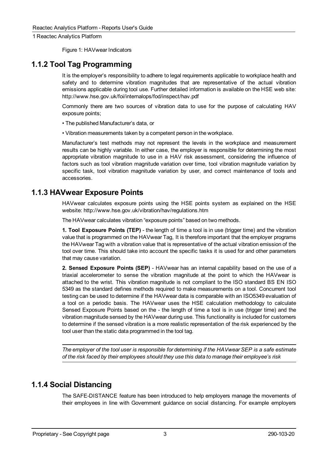Figure 1: HAVwear Indicators

### <span id="page-6-0"></span>**1.1.2 Tool Tag Programming**

It is the employer's responsibility to adhere to legal requirements applicable to workplace health and safety and to determine vibration magnitudes that are representative of the actual vibration emissions applicable during tool use. Further detailed information is available on the HSE web site: http://www.hse.gov.uk/foi/internalops/fod/inspect/hav.pdf

Commonly there are two sources of vibration data to use for the purpose of calculating HAV exposure points;

• The published Manufacturer's data, or

• Vibration measurements taken by a competent person in the workplace.

Manufacturer's test methods may not represent the levels in the workplace and measurement results can be highly variable. In either case, the employer is responsible for determining the most appropriate vibration magnitude to use in a HAV risk assessment, considering the influence of factors such as tool vibration magnitude variation over time, tool vibration magnitude variation by specific task, tool vibration magnitude variation by user, and correct maintenance of tools and accessories.

### <span id="page-6-1"></span>**1.1.3 HAVwear Exposure Points**

HAVwear calculates exposure points using the HSE points system as explained on the HSE website: http://www.hse.gov.uk/vibration/hav/regulations.htm

The HAVwear calculates vibration "exposure points" based on two methods.

**1. Tool Exposure Points (TEP)** - the length of time a tool is in use (trigger time) and the vibration value that is programmed on the HAVwear Tag, It is therefore important that the employer programs the HAVwear Tag with a vibration value that is representative of the actual vibration emission of the tool over time. This should take into account the specific tasks it is used for and other parameters that may cause variation.

**2. Sensed Exposure Points (SEP)** - HAVwear has an internal capability based on the use of a triaxial accelerometer to sense the vibration magnitude at the point to which the HAVwear is attached to the wrist. This vibration magnitude is not compliant to the ISO standard BS EN ISO 5349 as the standard defines methods required to make measurements on a tool. Concurrent tool testing can be used to determine if the HAVwear data is comparable with an ISO5349 evaluation of a tool on a periodic basis. The HAVwear uses the HSE calculation methodology to calculate Sensed Exposure Points based on the - the length of time a tool is in use (trigger time) and the vibration magnitude sensed by the HAVwear during use. This functionality is included for customers to determine if the sensed vibration is a more realistic representation of the risk experienced by the tool user than the static data programmed in the tool tag.

*The employer of the tool user is responsible for determining if the HAVwear SEP is a safe estimate of the risk faced by their employees should they use this data to manage their employee's risk*

### <span id="page-6-2"></span>**1.1.4 Social Distancing**

The SAFE-DISTANCE feature has been introduced to help employers manage the movements of their employees in line with Government guidance on social distancing. For example employers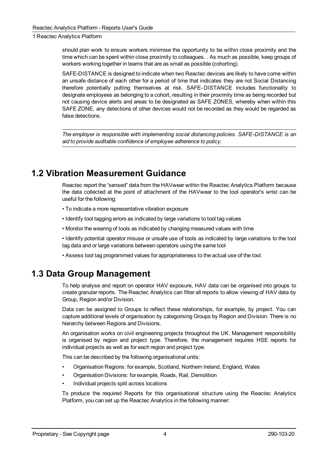should plan work to ensure workers minimise the opportunity to be within close proximity and the time which can be spent within close proximity to colleagues. . As much as possible, keep groups of workers working together in teams that are as small as possible (cohorting).

SAFE-DISTANCE is designed to indicate when two Reactec devices are likely to have come within an unsafe distance of each other for a period of time that indicates they are not Social Distancing therefore potentially putting themselves at risk. SAFE- DISTANCE includes functionality to designate employees as belonging to a cohort, resulting in their proximity time as being recorded but not causing device alerts and areas to be designated as SAFE ZONES, whereby when within this SAFE ZONE, any detections of other devices would not be recorded as they would be regarded as false detections.

*The employer is responsible with implementing social distancing policies. SAFE-DISTANCE is an aid to provide auditable confidence of employee adherence to policy.*

## <span id="page-7-0"></span>**1.2 Vibration Measurement Guidance**

Reactec report the "sensed" data from the HAVwear within the Reactec Analytics Platform because the data collected at the point of attachment of the HAVwear to the tool operator's wrist can be useful for the following:

- To indicate a more representative vibration exposure
- Identify tool tagging errors as indicated by large variations to tool tag values
- Monitor the wearing of tools as indicated by changing measured values with time
- Identify potential operator misuse or unsafe use of tools as indicated by large variations to the tool tag data and or large variations between operators using the same tool
- Assess tool tag programmed values for appropriateness to the actual use of the tool.

## <span id="page-7-1"></span>**1.3 Data Group Management**

To help analyse and report on operator HAV exposure, HAV data can be organised into groups to create granular reports. The Reactec Analytics can filter all reports to allow viewing of HAV data by Group, Region and/or Division.

Data can be assigned to Groups to reflect these relationships, for example, by project. You can capture additional levels of organisation by categorising Groups by Region and Division. There is no hierarchy between Regions and Divisions.

An organisation works on civil engineering projects throughout the UK. Management responsibility is organised by region and project type. Therefore, the management requires HSE reports for individual projects as well as for each region and project type.

This can be described by the following organisational units:

- Organisation Regions: for example, Scotland, Northern Ireland, England, Wales
- Organisation Divisions: for example, Roads, Rail, Demolition
- Individual projects split across locations

To produce the required Reports for this organisational structure using the Reactec Analytics Platform, you can set up the Reactec Analytics in the following manner: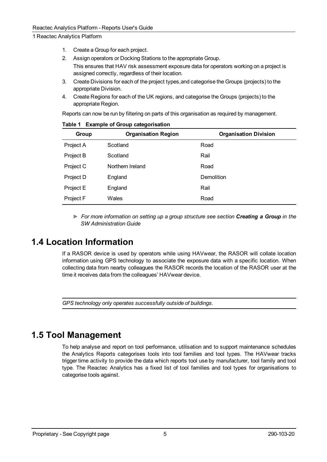- 1. Create a Group for each project.
- 2. Assign operators or Docking Stations to the appropriate Group.
	- This ensures that HAV risk assessment exposure data for operators working on a project is assigned correctly, regardless of their location.
- 3. Create Divisions for each of the project types,and categorise the Groups (projects) to the appropriate Division.
- 4. Create Regions for each of the UK regions, and categorise the Groups (projects) to the appropriate Region.

Reports can now be run by filtering on parts of this organisation as required by management.

| Group     | <b>Organisation Region</b> | <b>Organisation Division</b> |
|-----------|----------------------------|------------------------------|
| Project A | Scotland                   | Road                         |
| Project B | Scotland                   | Rail                         |
| Project C | Northern Ireland           | Road                         |
| Project D | England                    | Demolition                   |
| Project E | England                    | Rail                         |
| Project F | Wales                      | Road                         |

#### **Table 1 Example of Group categorisation**

*► For more information on setting up a group structure see section Creating a Group in the SW Administration Guide*

## <span id="page-8-0"></span>**1.4 Location Information**

If a RASOR device is used by operators while using HAVwear, the RASOR will collate location information using GPS technology to associate the exposure data with a specific location. When collecting data from nearby colleagues the RASOR records the location of the RASOR user at the time it receives data from the colleagues' HAVwear device.

*GPS technology only operates successfully outside of buildings.*

## <span id="page-8-1"></span>**1.5 Tool Management**

To help analyse and report on tool performance, utilisation and to support maintenance schedules the Analytics Reports categorises tools into tool families and tool types. The HAVwear tracks trigger time activity to provide the data which reports tool use by manufacturer, tool family and tool type. The Reactec Analytics has a fixed list of tool families and tool types for organisations to categorise tools against.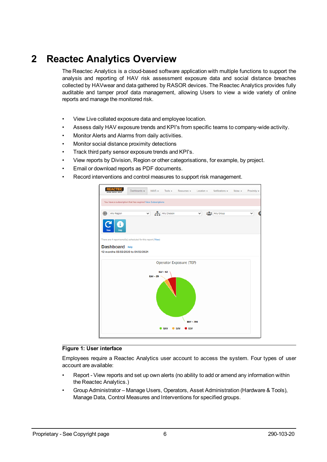<span id="page-9-0"></span>The Reactec Analytics is a cloud-based software application with multiple functions to support the analysis and reporting of HAV risk assessment exposure data and social distance breaches collected by HAVwear and data gathered by RASOR devices. The Reactec Analytics provides fully auditable and tamper proof data management, allowing Users to view a wide variety of online reports and manage the monitored risk.

- View Live collated exposure data and employee location.
- Assess daily HAV exposure trends and KPI's from specific teams to company-wide activity.
- Monitor Alerts and Alarms from daily activities.
- Monitor social distance proximity detections
- Track third party sensor exposure trends and KPI's.
- View reports by Division, Region or other categorisations, for example, by project.
- Email or download reports as PDF documents.
- Record interventions and control measures to support risk management.

|                                                              | Dashboards - | $HAVS -$ Tools $\sim$      | Resources +      | Location =   | Notifications =      | Noise $-$ | Proximity -  |
|--------------------------------------------------------------|--------------|----------------------------|------------------|--------------|----------------------|-----------|--------------|
| You have a subscription that has expired View Subscriptions  |              |                            |                  |              |                      |           |              |
| ⊕<br>Any Region                                              | v            | Any Division               |                  | $\checkmark$ | <b>2.8</b> Any Group |           | $\checkmark$ |
| Help                                                         |              |                            |                  |              |                      |           |              |
| There are 4 report email(s) scheduled for this report (View) |              |                            |                  |              |                      |           |              |
| Dashboard Help                                               |              |                            |                  |              |                      |           |              |
| 12 months 05/02/2020 to 04/02/2021                           |              |                            |                  |              |                      |           |              |
|                                                              |              | Operator Exposure (TEP)    |                  |              |                      |           |              |
|                                                              | $EAV - 29$   | $ELV - 62$                 | <b>BAV - 798</b> |              |                      |           |              |
|                                                              |              | <b>B</b> EAV<br><b>BAV</b> | $\bullet$ ELV    |              |                      |           |              |
|                                                              |              |                            |                  |              |                      |           |              |

#### **Figure 1: User interface**

Employees require a Reactec Analytics user account to access the system. Four types of user account are available:

- Report View reports and set up own alerts (no ability to add or amend any information within the Reactec Analytics.)
- Group Administrator Manage Users, Operators, Asset Administration (Hardware & Tools), Manage Data, Control Measures and Interventions for specified groups.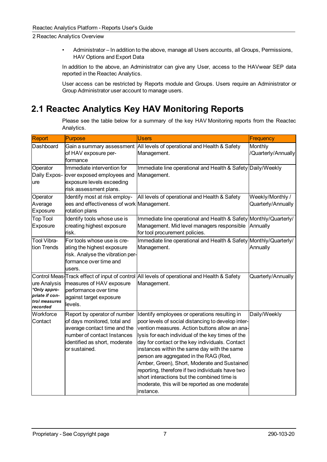• Administrator – In addition to the above, manage all Users accounts, all Groups, Permissions, HAV Options and Export Data

In addition to the above, an Administrator can give any User, access to the HAVwear SEP data reported in the Reactec Analytics.

User access can be restricted by Reports module and Groups. Users require an Administrator or Group Administrator user account to manage users.

## <span id="page-10-0"></span>**2.1 Reactec Analytics Key HAV Monitoring Reports**

Please see the table below for a summary of the key HAV Monitoring reports from the Reactec Analytics.

| Report                                                                      | Purpose                                                                                                                                                                       | <b>Users</b>                                                                                                                                                                                                                                                                                                                                                                                                                                                                                                                                                               | Frequency                              |
|-----------------------------------------------------------------------------|-------------------------------------------------------------------------------------------------------------------------------------------------------------------------------|----------------------------------------------------------------------------------------------------------------------------------------------------------------------------------------------------------------------------------------------------------------------------------------------------------------------------------------------------------------------------------------------------------------------------------------------------------------------------------------------------------------------------------------------------------------------------|----------------------------------------|
| Dashboard                                                                   | Gain a summary assessment<br>of HAV exposure per-<br>formance                                                                                                                 | All levels of operational and Health & Safety<br>Management.                                                                                                                                                                                                                                                                                                                                                                                                                                                                                                               | Monthly<br>/Quarterly/Annually         |
| Operator<br>Daily Expos-<br>ure                                             | Immediate intervention for<br>over exposed employees and<br>exposure levels exceeding<br>risk assessment plans.                                                               | Immediate line operational and Health & Safety Daily/Weekly<br>Management.                                                                                                                                                                                                                                                                                                                                                                                                                                                                                                 |                                        |
| Operator<br>Average<br>Exposure                                             | Identify most at risk employ-<br>ees and effectiveness of work Management.<br>rotation plans                                                                                  | All levels of operational and Health & Safety                                                                                                                                                                                                                                                                                                                                                                                                                                                                                                                              | Weekly/Monthly /<br>Quarterly/Annually |
| <b>Top Tool</b><br>Exposure                                                 | Identify tools whose use is<br>creating highest exposure<br>lrisk.                                                                                                            | Immediate line operational and Health & Safety<br>Management. Mid level managers responsible<br>for tool procurement policies.                                                                                                                                                                                                                                                                                                                                                                                                                                             | Monthly/Quarterly/<br>Annually         |
| Tool Vibra-<br>tion Trends                                                  | For tools whose use is cre-<br>ating the highest exposure<br>risk. Analyse the vibration per-<br>formance over time and<br>users.                                             | Immediate line operational and Health & Safety Monthly/Quarterly/<br>Management.                                                                                                                                                                                                                                                                                                                                                                                                                                                                                           | Annually                               |
| ure Analysis<br>*Only appro-<br>priate if con-<br>trol measures<br>recorded | measures of HAV exposure<br>performance over time<br>against target exposure<br>levels.                                                                                       | Control Meas-Track effect of input of control All levels of operational and Health & Safety<br>Management.                                                                                                                                                                                                                                                                                                                                                                                                                                                                 | Quarterly/Annually                     |
| Workforce<br>Contact                                                        | Report by operator of number<br>of days monitored, total and<br>average contact time and the<br>number of contact Instances<br>identified as short, moderate<br>or sustained. | Identify employees or operations resulting in<br>poor levels of social distancing to develop inter-<br>vention measures. Action buttons allow an ana-<br>lysis for each individual of the key times of the<br>day for contact or the key individuals. Contact<br>instances within the same day with the same<br>person are aggregated in the RAG (Red,<br>Amber, Green), Short, Moderate and Sustained<br>reporting, therefore if two individuals have two<br>short interactions but the combined time is<br>moderate, this will be reported as one moderate<br> instance. | Daily/Weekly                           |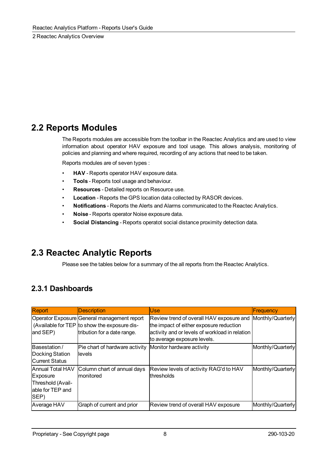### <span id="page-11-0"></span>**2.2 Reports Modules**

The Reports modules are accessible from the toolbar in the Reactec Analytics and are used to view information about operator HAV exposure and tool usage. This allows analysis, monitoring of policies and planning and where required, recording of any actions that need to be taken.

Reports modules are of seven types :

- **HAV** Reports operator HAV exposure data.
- **Tools** Reports tool usage and behaviour.
- **Resources** Detailed reports on Resource use.
- **Location** Reports the GPS location data collected by RASOR devices.
- **Notifications** Reports the Alerts and Alarms communicated to the Reactec Analytics.
- **Noise** Reports operator Noise exposure data.
- **Social Distancing** Reports operatot social distance proximity detection data.

## <span id="page-11-1"></span>**2.3 Reactec Analytic Reports**

Please see the tables below for a summary of the all reports from the Reactec Analytics.

### <span id="page-11-2"></span>**2.3.1 Dashboards**

| Report                | <b>Description</b>                           | Use.                                           | <b>Frequency</b>  |
|-----------------------|----------------------------------------------|------------------------------------------------|-------------------|
|                       | Operator Exposure General management report  | Review trend of overall HAV exposure and       | Monthly/Quarterly |
|                       | (Available for TEP to show the exposure dis- | the impact of either exposure reduction        |                   |
| and SEP)              | tribution for a date range.                  | activity and or levels of workload in relation |                   |
|                       |                                              | to average exposure levels.                    |                   |
| Basestation /         | Pie chart of hardware activity               | Monitor hardware activity                      | Monthly/Quarterly |
| Docking Station       | <b>llevels</b>                               |                                                |                   |
| <b>Current Status</b> |                                              |                                                |                   |
| Annual Total HAV      | Column chart of annual days                  | Review levels of activity RAG'd to HAV         | Monthly/Quarterly |
| Exposure              | <b>Imonitored</b>                            | <b>thresholds</b>                              |                   |
| Threshold (Avail-     |                                              |                                                |                   |
| lable for TEP and     |                                              |                                                |                   |
| SEP)                  |                                              |                                                |                   |
| Average HAV           | Graph of current and prior                   | Review trend of overall HAV exposure           | Monthly/Quarterly |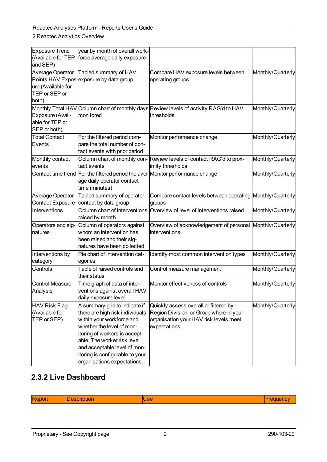| <b>Exposure Trend</b>   | year by month of overall work-                                                 |                                                                      |                   |
|-------------------------|--------------------------------------------------------------------------------|----------------------------------------------------------------------|-------------------|
| (Available for TEP      | force average daily exposure                                                   |                                                                      |                   |
| and SEP)                |                                                                                |                                                                      |                   |
| Average Operator        | Tabled summary of HAV                                                          | Compare HAV exposure levels between                                  | Monthly/Quarterly |
|                         | Points HAV Expos-exposure by data group                                        | operating groups                                                     |                   |
| ure (Available for      |                                                                                |                                                                      |                   |
| TEP or SEP or           |                                                                                |                                                                      |                   |
| both)                   |                                                                                |                                                                      |                   |
| Monthly Total HAV       |                                                                                | Column chart of monthly days Review levels of activity RAG'd to HAV  | Monthly/Quarterly |
| Exposure (Avail-        | monitored                                                                      | thresholds                                                           |                   |
| able for TEP or         |                                                                                |                                                                      |                   |
| SEP or both)            |                                                                                |                                                                      |                   |
| <b>Total Contact</b>    | For the filtered period com-                                                   | Monitor performance change                                           | Monthly/Quarterly |
| Events                  | pare the total number of con-                                                  |                                                                      |                   |
|                         | tact events with prior period                                                  |                                                                      |                   |
| Monthly contact         |                                                                                | Column chart of monthly con- Review levels of contact RAG'd to prox- | Monthly/Quarterly |
| events                  | tact events                                                                    | imity thresholds                                                     |                   |
|                         | Contact time trend For the filtered period the aver-Monitor performance change |                                                                      | Monthly/Quarterly |
|                         | age daily operator contact                                                     |                                                                      |                   |
|                         | time (minutes)                                                                 |                                                                      |                   |
| Average Operator        | Tabled summary of operator                                                     | Compare contact levels between operating Monthly/Quarterly           |                   |
| <b>Contact Exposure</b> | contact by data group                                                          | groups                                                               |                   |
| Interventions           | Column chart of interventions                                                  | Overview of level of interventions raised                            | Monthly/Quarterly |
|                         | raised by month                                                                |                                                                      |                   |
| Operators and sig-      | Column of operators against                                                    | Overview of acknowledgement of personal Monthly/Quarterly            |                   |
| natures                 | whom an intervention has                                                       | interventions                                                        |                   |
|                         | been raised and their sig-                                                     |                                                                      |                   |
|                         | natures have been collected                                                    |                                                                      |                   |
| Interventions by        | Pie chart of intervention cat-                                                 | Identify most common intervention types                              | Monthly/Quarterly |
| category                | egories                                                                        |                                                                      |                   |
| Controls                | Table of raised controls and                                                   | Control measure management                                           | Monthly/Quarterly |
|                         | their status                                                                   |                                                                      |                   |
| <b>Control Measure</b>  | Time graph of data of inter-                                                   | Monitor effectiveness of controls                                    | Monthly/Quarterly |
| Analysis                | ventions against overall HAV                                                   |                                                                      |                   |
|                         | daily exposure level                                                           |                                                                      |                   |
| <b>HAV Risk Flag</b>    | A summary grid to indicate if                                                  | Quickly assess overall or filtered by                                | Monthly/Quarterly |
| (Available for          | there are high risk individuals                                                | Region Division, or Group where in your                              |                   |
| TEP or SEP)             | within your workforce and                                                      | organisation your HAV risk levels meet                               |                   |
|                         | whether the level of mon-                                                      | expectations.                                                        |                   |
|                         | itoring of workers is accept-                                                  |                                                                      |                   |
|                         | able. The worker risk level                                                    |                                                                      |                   |
|                         | and acceptable level of mon-                                                   |                                                                      |                   |
|                         | itoring is configurable to your                                                |                                                                      |                   |
|                         | organisations expectations.                                                    |                                                                      |                   |

### <span id="page-12-0"></span>**2.3.2 Live Dashboard**

| R |  |  |
|---|--|--|
|   |  |  |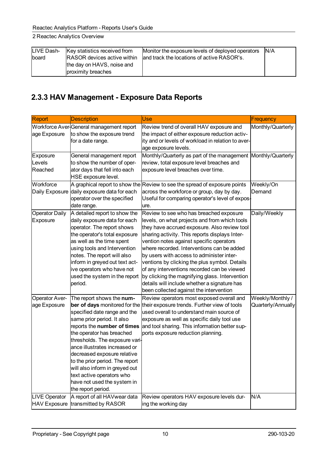| LIVE Dash- | Key statistics received from       | Monitor the exposure levels of deployed operators | IN/A |
|------------|------------------------------------|---------------------------------------------------|------|
| Iboard     | <b>RASOR</b> devices active within | land track the locations of active RASOR's.       |      |
|            | the day on HAVS, noise and         |                                                   |      |
|            | proximity breaches                 |                                                   |      |

## <span id="page-13-0"></span>**2.3.3 HAV Management - Exposure Data Reports**

| Report                            | <b>Description</b>                                                                                                                                                                                                                                                                                                                                                                                                                            | Use                                                                                                                                                                                                                                                                                                                                                                                                                                                                                                                                                                            | Frequency                              |
|-----------------------------------|-----------------------------------------------------------------------------------------------------------------------------------------------------------------------------------------------------------------------------------------------------------------------------------------------------------------------------------------------------------------------------------------------------------------------------------------------|--------------------------------------------------------------------------------------------------------------------------------------------------------------------------------------------------------------------------------------------------------------------------------------------------------------------------------------------------------------------------------------------------------------------------------------------------------------------------------------------------------------------------------------------------------------------------------|----------------------------------------|
| age Exposure                      | Workforce Aver-General management report<br>to show the exposure trend<br>for a date range.                                                                                                                                                                                                                                                                                                                                                   | Review trend of overall HAV exposure and<br>the impact of either exposure reduction activ-<br>ity and or levels of workload in relation to aver-<br>age exposure levels.                                                                                                                                                                                                                                                                                                                                                                                                       | Monthly/Quarterly                      |
| Exposure<br>Levels<br>Reached     | General management report<br>to show the number of oper-<br>ator days that fell into each<br>HSE exposure level.                                                                                                                                                                                                                                                                                                                              | Monthly/Quarterly as part of the management Monthly/Quarterly<br>review, total exposure level breaches and<br>exposure level breaches over time.                                                                                                                                                                                                                                                                                                                                                                                                                               |                                        |
| Workforce<br>Daily Exposure       | daily exposure data for each<br>operator over the specified<br>date range.                                                                                                                                                                                                                                                                                                                                                                    | $\mathsf A$ graphical report to show the Review to see the spread of exposure points<br>across the workforce or group, day by day.<br>Useful for comparing operator's level of expos-<br>ure.                                                                                                                                                                                                                                                                                                                                                                                  | Weekly/On<br>Demand                    |
| <b>Operator Daily</b><br>Exposure | A detailed report to show the<br>daily exposure data for each<br>operator. The report shows<br>the operator's total exposure<br>as well as the time spent<br>using tools and Intervention<br>notes. The report will also<br>inform in greyed out text act-<br>ive operators who have not<br>used the system in the report<br>period.                                                                                                          | Review to see who has breached exposure<br>levels, on what projects and from which tools<br>they have accrued exposure. Also review tool<br>sharing activity. This reports displays Inter-<br>vention notes against specific operators<br>where recorded. Interventions can be added<br>by users with access to administer inter-<br>ventions by clicking the plus symbol. Details<br>of any interventions recorded can be viewed<br>by clicking the magnifying glass. Intervention<br>details will include whether a signature has<br>been collected against the intervention | Daily/Weekly                           |
| Operator Aver-<br>age Exposure    | The report shows the num-<br>ber of days monitored for the<br>specified date range and the<br>same prior period. It also<br>reports the number of times<br>the operator has breached<br>thresholds. The exposure vari-<br>ance illustrates increased or<br>decreased exposure relative<br>to the prior period. The report<br>will also inform in greyed out<br>text active operators who<br>have not used the system in<br>the report period. | Review operators most exposed overall and<br>their exposure trends. Further view of tools<br>used overall to understand main source of<br>exposure as well as specific daily tool use<br>and tool sharing. This information better sup-<br>ports exposure reduction planning.                                                                                                                                                                                                                                                                                                  | Weekly/Monthly /<br>Quarterly/Annually |
| <b>LIVE Operator</b>              | A report of all HAVwear data<br>HAV Exposure transmitted by RASOR                                                                                                                                                                                                                                                                                                                                                                             | Review operators HAV exposure levels dur-<br>ing the working day                                                                                                                                                                                                                                                                                                                                                                                                                                                                                                               | N/A                                    |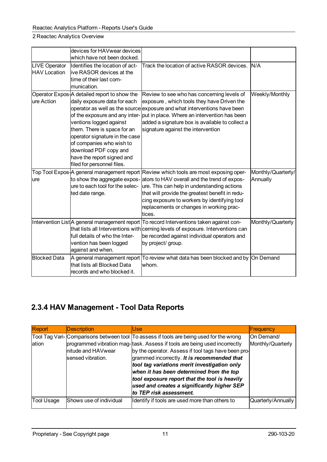|                      | devices for HAVwear devices                               |                                                                                                                                                                    |                                |
|----------------------|-----------------------------------------------------------|--------------------------------------------------------------------------------------------------------------------------------------------------------------------|--------------------------------|
|                      | which have not been docked.                               |                                                                                                                                                                    |                                |
| <b>LIVE Operator</b> | Identifies the location of act-                           | Track the location of active RASOR devices.                                                                                                                        | IN/A                           |
| <b>HAV Location</b>  | live RASOR devices at the                                 |                                                                                                                                                                    |                                |
|                      | ltime of their last com-                                  |                                                                                                                                                                    |                                |
|                      | munication.                                               |                                                                                                                                                                    |                                |
|                      | Operator Expos <sup>1</sup> A detailed report to show the | Review to see who has concerning levels of                                                                                                                         | Weekly/Monthly                 |
| ure Action           | daily exposure data for each                              | exposure , which tools they have Driven the                                                                                                                        |                                |
|                      |                                                           | operator as well as the source exposure and what interventions have been                                                                                           |                                |
|                      |                                                           | of the exposure and any inter- $ $ put in place. Where an intervention has been                                                                                    |                                |
|                      | ventions logged against                                   | added a signature box is available to collect a                                                                                                                    |                                |
|                      | them. There is space for an                               | signature against the intervention                                                                                                                                 |                                |
|                      | operator signature in the case                            |                                                                                                                                                                    |                                |
|                      | of companies who wish to                                  |                                                                                                                                                                    |                                |
|                      | download PDF copy and                                     |                                                                                                                                                                    |                                |
|                      | have the report signed and<br>filed for personnel files.  |                                                                                                                                                                    |                                |
|                      |                                                           |                                                                                                                                                                    |                                |
| lure                 |                                                           | Top Tool Expos A general management report Review which tools are most exposing oper-<br>to show the aggregate expos- ators to HAV overall and the trend of expos- | Monthly/Quarterly/<br>Annually |
|                      |                                                           | $\vert$ ure to each tool for the selec- $\vert$ ure. This can help in understanding actions                                                                        |                                |
|                      | ted date range.                                           | that will provide the greatest benefit in redu-                                                                                                                    |                                |
|                      |                                                           | cing exposure to workers by identifying tool                                                                                                                       |                                |
|                      |                                                           | replacements or changes in working prac-                                                                                                                           |                                |
|                      |                                                           | ltices.                                                                                                                                                            |                                |
|                      |                                                           | Intervention List A general management report  To record Interventions taken against con-                                                                          | Monthly/Quarterly              |
|                      |                                                           | that lists all Interventions with cerning levels of exposure. Interventions can                                                                                    |                                |
|                      | full details of who the Inter-                            | be recorded against individual operators and                                                                                                                       |                                |
|                      | vention has been logged                                   | by project/ group.                                                                                                                                                 |                                |
|                      | against and when.                                         |                                                                                                                                                                    |                                |
| <b>Blocked Data</b>  |                                                           | A general management report To review what data has been blocked and by On Demand                                                                                  |                                |
|                      | that lists all Blocked Data                               | lwhom.                                                                                                                                                             |                                |
|                      | records and who blocked it.                               |                                                                                                                                                                    |                                |
|                      |                                                           |                                                                                                                                                                    |                                |

## <span id="page-14-0"></span>**2.3.4 HAV Management - Tool Data Reports**

| Report     | <b>Description</b>                      | lUse.                                                                                                                                                                                                                                                                                                                                                                                                                                                                                             | <b>Frequency</b>                |
|------------|-----------------------------------------|---------------------------------------------------------------------------------------------------------------------------------------------------------------------------------------------------------------------------------------------------------------------------------------------------------------------------------------------------------------------------------------------------------------------------------------------------------------------------------------------------|---------------------------------|
| ation      | nitude and HAVwear<br>sensed vibration. | Tool Tag Vari-Comparisons between tool To assess if tools are being used for the wrong<br>programmed vibration mag- task. Assess if tools are being used incorrectly<br>by the operator. Assess if tool tags have been pro-<br>grammed incorrectly. It is recommended that<br>tool tag variations merit investigation only<br>when it has been determined from the top<br>tool exposure report that the tool is heavily<br>used and creates a significantly higher SEP<br>to TEP risk assessment. | On Demand/<br>Monthly/Quarterly |
| Tool Usage | Shows use of individual                 | Identify if tools are used more than others to                                                                                                                                                                                                                                                                                                                                                                                                                                                    | Quarterly/Annually              |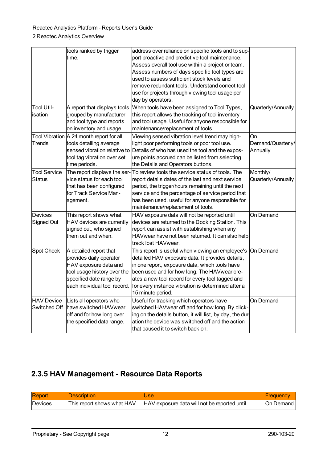|                                      | tools ranked by trigger<br>ltime.                                                                                                                                    | address over reliance on specific tools and to sup-<br>port proactive and predictive tool maintenance.<br>Assess overall tool use within a project or team.<br>Assess numbers of days specific tool types are<br>used to assess sufficient stock levels and<br>remove redundant tools. Understand correct tool<br>use for projects through viewing tool usage per<br>day by operators. |                                     |
|--------------------------------------|----------------------------------------------------------------------------------------------------------------------------------------------------------------------|----------------------------------------------------------------------------------------------------------------------------------------------------------------------------------------------------------------------------------------------------------------------------------------------------------------------------------------------------------------------------------------|-------------------------------------|
| <b>Tool Util-</b><br>isation         | A report that displays tools<br>grouped by manufacturer<br>and tool type and reports<br>on inventory and usage.                                                      | When tools have been assigned to Tool Types,<br>this report allows the tracking of tool inventory<br>and tool usage. Useful for anyone responsible for<br>maintenance/replacement of tools.                                                                                                                                                                                            | Quarterly/Annually                  |
| <b>Trends</b>                        | Tool Vibration A 24 month report for all<br>tools detailing average<br>sensed vibration relative to<br>tool tag vibration over set<br>time periods.                  | Viewing sensed vibration level trend may high-<br>light poor performing tools or poor tool use.<br>Details of who has used the tool and the expos-<br>ure points accrued can be listed from selecting<br>the Details and Operators buttons.                                                                                                                                            | On<br>Demand/Quarterly/<br>Annually |
| <b>Tool Service</b><br><b>Status</b> | The report displays the ser-<br>$ $ vice status for each tool<br>that has been configured<br>for Track Service Man-<br> agement.                                     | To review tools the service status of tools. The<br>report details dates of the last and next service<br>period, the trigger/hours remaining until the next<br>service and the percentage of service period that<br>has been used. useful for anyone responsible for<br>maintenance/replacement of tools.                                                                              | Monthly/<br>Quarterly/Annually      |
| <b>Devices</b><br>Signed Out         | This report shows what<br>HAV devices are currently<br>signed out, who signed<br>them out and when.                                                                  | HAV exposure data will not be reported until<br>devices are returned to the Docking Station. This<br>report can assist with establishing when any<br>HAVwear have not been returned. It can also help<br>track lost HAVwear.                                                                                                                                                           | On Demand                           |
| Spot Check                           | A detailed report that<br>provides daily operator<br>HAV exposure data and<br>tool usage history over the<br>specified date range by<br>each individual tool record. | This report is useful when viewing an employee's<br>detailed HAV exposure data. It provides details,<br>in one report, exposure data, which tools have<br>been used and for how long. The HAVwear cre-<br>ates a new tool record for every tool tagged and<br>for every instance vibration is determined after a<br>15 minute period.                                                  | On Demand                           |
| <b>HAV Device</b><br>Switched Off    | Lists all operators who<br>have switched HAVwear<br>off and for how long over<br>the specified data range.                                                           | Useful for tracking which operators have<br>switched HAVwear off and for how long. By click-<br>ing on the details button, it will list, by day, the dur-<br>ation the device was switched off and the action<br>that caused it to switch back on.                                                                                                                                     | On Demand                           |

### <span id="page-15-0"></span>**2.3.5 HAV Management - Resource Data Reports**

| Report          | <i><b>IDescription</b></i> | Use                                           | <b>IFrequency</b> |
|-----------------|----------------------------|-----------------------------------------------|-------------------|
| <b>IDevices</b> | This report shows what HAV | IHAV exposure data will not be reported until | IOn Demand        |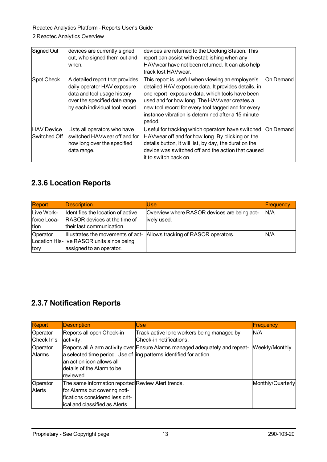| Signed Out                  | devices are currently signed<br>out, who signed them out and<br>lwhen.                                                                                            | devices are returned to the Docking Station. This<br>report can assist with establishing when any<br>HAVwear have not been returned. It can also help<br>ltrack lost HAVwear.                                                                                                                                                          |            |
|-----------------------------|-------------------------------------------------------------------------------------------------------------------------------------------------------------------|----------------------------------------------------------------------------------------------------------------------------------------------------------------------------------------------------------------------------------------------------------------------------------------------------------------------------------------|------------|
| Spot Check                  | A detailed report that provides<br>daily operator HAV exposure<br>data and tool usage history<br>over the specified date range<br>by each individual tool record. | This report is useful when viewing an employee's<br>detailed HAV exposure data. It provides details, in<br>one report, exposure data, which tools have been<br>used and for how long. The HAV wear creates a<br>new tool record for every tool tagged and for every<br>linstance vibration is determined after a 15 minute<br>lperiod. | On Demand  |
| HAV Device<br>lSwitched Off | Lists all operators who have<br>lswitched HAVwear off and for<br>how long over the specified<br>data range.                                                       | Useful for tracking which operators have switched<br>HAVwear off and for how long. By clicking on the<br>details button, it will list, by day, the duration the<br>$ $ device was switched off and the action that caused $ $<br>lit to switch back on.                                                                                | lOn Demand |

### <span id="page-16-0"></span>**2.3.6 Location Reports**

| Report      | <b>Description</b>                         | lUse                                                                  | Frequency |
|-------------|--------------------------------------------|-----------------------------------------------------------------------|-----------|
| Live Work-  | Identifies the location of active          | Overview where RASOR devices are being act-                           | N/A       |
| force Loca- | <b>RASOR</b> devices at the time of        | ively used.                                                           |           |
| tion        | their last communication.                  |                                                                       |           |
| Operator    |                                            | Illustrates the movements of act- Allows tracking of RASOR operators. | N/A       |
|             | Location His- live RASOR units since being |                                                                       |           |
| tory        | assigned to an operator.                   |                                                                       |           |

### <span id="page-16-1"></span>**2.3.7 Notification Reports**

| Report                    | Description                                                                                                                                               | lUse.                                                                                                                                               | <b>Frequency</b>  |
|---------------------------|-----------------------------------------------------------------------------------------------------------------------------------------------------------|-----------------------------------------------------------------------------------------------------------------------------------------------------|-------------------|
| Operator                  | Reports all open Check-in                                                                                                                                 | Track active lone workers being managed by                                                                                                          | IN/A              |
| Check In's                | activity.                                                                                                                                                 | Check-in notifications.                                                                                                                             |                   |
| Operator<br><b>Alarms</b> | lan action icon allows all<br>Idetails of the Alarm to be<br>lreviewed.                                                                                   | Reports all Alarm activity over Ensure Alarms managed adequately and repeat-<br>a selected time period. Use of ling patterns identified for action. | Weekly/Monthly    |
| Operator<br>Alerts        | The same information reported Review Alert trends.<br>for Alarms but covering noti-<br>fications considered less crit-<br>lical and classified as Alerts. |                                                                                                                                                     | Monthly/Quarterly |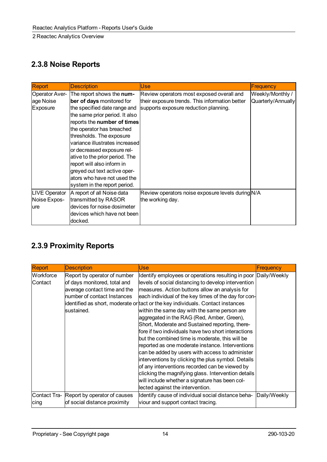## <span id="page-17-0"></span>**2.3.8 Noise Reports**

| Report                | <b>Description</b>               | Use                                               | Frequency          |
|-----------------------|----------------------------------|---------------------------------------------------|--------------------|
| <b>Operator Aver-</b> | The report shows the num-        | Review operators most exposed overall and         | Weekly/Monthly /   |
| age Noise             | ber of days monitored for        | their exposure trends. This information better    | Quarterly/Annually |
| Exposure              | the specified date range and     | supports exposure reduction planning.             |                    |
|                       | the same prior period. It also   |                                                   |                    |
|                       | reports the number of times      |                                                   |                    |
|                       | the operator has breached        |                                                   |                    |
|                       | thresholds. The exposure         |                                                   |                    |
|                       | lvariance illustrates increasedl |                                                   |                    |
|                       | or decreased exposure rel-       |                                                   |                    |
|                       | ative to the prior period. The   |                                                   |                    |
|                       | report will also inform in       |                                                   |                    |
|                       | greyed out text active oper-     |                                                   |                    |
|                       | ators who have not used the      |                                                   |                    |
|                       | system in the report period.     |                                                   |                    |
| LIVE Operator         | A report of all Noise data       | Review operators noise exposure levels during N/A |                    |
| Noise Expos-          | transmitted by RASOR             | the working day.                                  |                    |
| lure                  | devices for noise dosimeter      |                                                   |                    |
|                       | devices which have not been      |                                                   |                    |
|                       | docked.                          |                                                   |                    |

## <span id="page-17-1"></span>**2.3.9 Proximity Reports**

| <b>Report</b> | <b>Description</b>                        | Use                                                                             | Frequency    |
|---------------|-------------------------------------------|---------------------------------------------------------------------------------|--------------|
| Workforce     | Report by operator of number              | Identify employees or operations resulting in poor Daily/Weekly                 |              |
| Contact       | of days monitored, total and              | levels of social distancing to develop intervention                             |              |
|               | average contact time and the              | measures. Action buttons allow an analysis for                                  |              |
|               | number of contact Instances               | each individual of the key times of the day for con-                            |              |
|               |                                           | identified as short, moderate or tact or the key individuals. Contact instances |              |
|               | lsustained.                               | within the same day with the same person are                                    |              |
|               |                                           | aggregated in the RAG (Red, Amber, Green),                                      |              |
|               |                                           | Short, Moderate and Sustained reporting, there-                                 |              |
|               |                                           | fore if two individuals have two short interactions                             |              |
|               |                                           | but the combined time is moderate, this will be                                 |              |
|               |                                           | reported as one moderate instance. Interventions                                |              |
|               |                                           | can be added by users with access to administer                                 |              |
|               |                                           | interventions by clicking the plus symbol. Details                              |              |
|               |                                           | of any interventions recorded can be viewed by                                  |              |
|               |                                           | clicking the magnifying glass. Intervention details                             |              |
|               |                                           | will include whether a signature has been col-                                  |              |
|               |                                           | lected against the intervention.                                                |              |
|               | Contact Tra- Report by operator of causes | Identify cause of individual social distance beha-                              | Daily/Weekly |
| cing          | of social distance proximity              | viour and support contact tracing.                                              |              |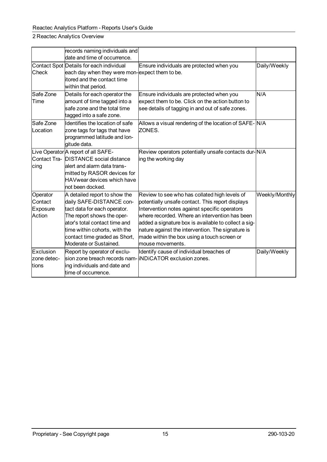|                                           | records naming individuals and<br>ldate and time of occurrence.                                                                                                                                                                                       |                                                                                                                                                                                                                                                                                                                                                                                      |                |
|-------------------------------------------|-------------------------------------------------------------------------------------------------------------------------------------------------------------------------------------------------------------------------------------------------------|--------------------------------------------------------------------------------------------------------------------------------------------------------------------------------------------------------------------------------------------------------------------------------------------------------------------------------------------------------------------------------------|----------------|
| Check                                     | Contact Spot Details for each individual<br>each day when they were mon-expect them to be.<br>litored and the contact time<br>within that period.                                                                                                     | Ensure individuals are protected when you                                                                                                                                                                                                                                                                                                                                            | Daily/Weekly   |
| Safe Zone<br>Time                         | Details for each operator the<br>amount of time tagged into a<br>safe zone and the total time<br>tagged into a safe zone.                                                                                                                             | Ensure individuals are protected when you<br>expect them to be. Click on the action button to<br>see details of tagging in and out of safe zones.                                                                                                                                                                                                                                    | ln/a           |
| Safe Zone<br>Location                     | Identifies the location of safe<br>zone tags for tags that have<br>programmed latitude and lon-<br>gitude data.                                                                                                                                       | Allows a visual rendering of the location of SAFE- N/A<br>ZONES.                                                                                                                                                                                                                                                                                                                     |                |
| cing                                      | Live Operator A report of all SAFE-<br>Contact Tra- DISTANCE social distance<br>alert and alarm data trans-<br>mitted by RASOR devices for<br><b>HAVwear devices which have</b><br>Inot been docked.                                                  | Review operators potentially unsafe contacts dur-N/A<br>ing the working day                                                                                                                                                                                                                                                                                                          |                |
| Operator<br>Contact<br>Exposure<br>Action | A detailed report to show the<br>daily SAFE-DISTANCE con-<br>tact data for each operator.<br>The report shows the oper-<br>lator's total contact time and<br>time within cohorts, with the<br>contact time graded as Short,<br>Moderate or Sustained. | Review to see who has collated high levels of<br>potentially unsafe contact. This report displays<br>Intervention notes against specific operators<br>where recorded. Where an intervention has been<br>added a signature box is available to collect a sig-<br>nature against the intervention. The signature is<br>made within the box using a touch screen or<br>mouse movements. | Weekly/Monthly |
| Exclusion<br>zone detec-<br>ltions        | Report by operator of exclu-<br>sion zone breach records nam- iNDiCATOR exclusion zones.<br>ing individuals and date and<br>time of occurrence.                                                                                                       | Identify cause of individual breaches of                                                                                                                                                                                                                                                                                                                                             | Daily/Weekly   |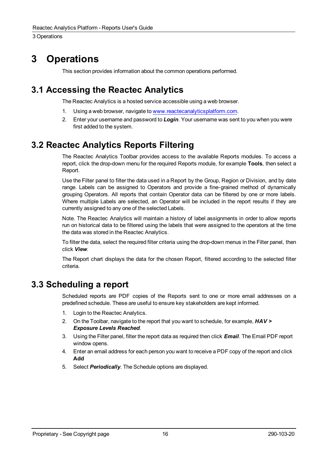# <span id="page-19-0"></span>**3 Operations**

This section provides information about the common operations performed.

## <span id="page-19-1"></span>**3.1 Accessing the Reactec Analytics**

The Reactec Analytics is a hosted service accessible using a web browser.

- 1. Using a web browser, navigate to [www.reactecanalyticsplatform.com](http://www.reactecanalyticsplatform.com/).
- 2. Enter your username and password to *Login*. Your username was sent to you when you were first added to the system.

## <span id="page-19-2"></span>**3.2 Reactec Analytics Reports Filtering**

The Reactec Analytics Toolbar provides access to the available Reports modules. To access a report, click the drop-down menu for the required Reports module, for example **Tools**, then select a Report.

Use the Filter panel to filter the data used in a Report by the Group, Region or Division, and by date range. Labels can be assigned to Operators and provide a fine-grained method of dynamically grouping Operators. All reports that contain Operator data can be filtered by one or more labels. Where multiple Labels are selected, an Operator will be included in the report results if they are currently assigned to any one of the selected Labels.

Note. The Reactec Analytics will maintain a history of label assignments in order to allow reports run on historical data to be filtered using the labels that were assigned to the operators at the time the data was stored in the Reactec Analytics.

To filter the data, select the required filter criteria using the drop-down menus in the Filter panel, then click *View*.

The Report chart displays the data for the chosen Report, filtered according to the selected filter criteria.

### <span id="page-19-3"></span>**3.3 Scheduling a report**

Scheduled reports are PDF copies of the Reports sent to one or more email addresses on a predefined schedule. These are useful to ensure key stakeholders are kept informed.

- 1. Login to the Reactec Analytics.
- 2. On the Toolbar, navigate to the report that you want to schedule, for example, *HAV > Exposure Levels Reached*.
- 3. Using the Filter panel, filter the report data as required then click *Email*. The Email PDF report window opens.
- 4. Enter an email address for each person you want to receive a PDF copy of the report and click **Add**
- 5. Select *Periodically*. The Schedule options are displayed.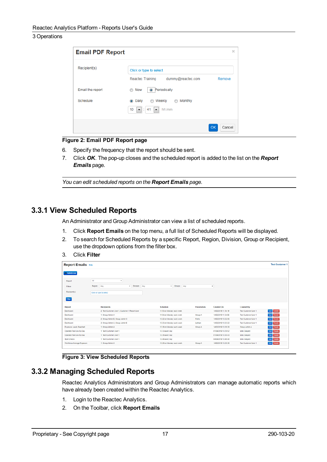| <b>Email PDF Report</b> |                                              | ×                   |
|-------------------------|----------------------------------------------|---------------------|
| Recipient(s)            | Click or type to select                      |                     |
|                         | dummy@reactec.com<br>Reactec Training        | Remove              |
| Email the report        | Now<br><sup>O</sup> Periodically<br>:        |                     |
| Schedule                | Monthly<br>Weekly<br>Daily<br>⋒<br>$\bullet$ |                     |
|                         | 10<br>41<br>hh:mm<br>ß.<br>▾▏<br>▼           |                     |
|                         |                                              | <b>OK</b><br>Cancel |

#### **Figure 2: Email PDF Report page**

- 6. Specify the frequency that the report should be sent.
- 7. Click *OK*. The pop-up closes and the scheduled report is added to the list on the *Report Emails* page.

*You can edit scheduled reports on the Report Emails page.*

### <span id="page-20-0"></span>**3.3.1 View Scheduled Reports**

An Administrator and Group Administrator can view a list of scheduled reports.

- 1. Click **Report Emails** on the top menu, a full list of Scheduled Reports will be displayed.
- 2. To search for Scheduled Reports by a specific Report, Region, Division, Group or Recipient, use the dropdown options from the filter box.
- 3. Click **Filter**

| <b>Report Emails Help</b>                           |                                                                                           |                                                        |                  |                                            |                                                     |                            |  |  |
|-----------------------------------------------------|-------------------------------------------------------------------------------------------|--------------------------------------------------------|------------------|--------------------------------------------|-----------------------------------------------------|----------------------------|--|--|
| <b>Conditions</b>                                   |                                                                                           |                                                        |                  |                                            |                                                     |                            |  |  |
| Report<br><b>Filters</b><br>Recipient(s)            | All<br>$\tau$<br>Region<br>Any<br>Division Any<br>$\mathbf{v}$<br>Click or type to select | v Groups Any                                           |                  | $\boldsymbol{\mathrm{v}}$                  |                                                     |                            |  |  |
| Filter<br>Report<br>Dashboard                       | <b>Recipients</b><br>2: Test Customer User 1, Customer 1 Report User                      | Schedule<br>11:53 on Monday each week                  | Parameters       | <b>Created On</b><br>14/02/2019 11:54:19   | Created By<br><b>Test Customer User 1</b>           | Edit Delete                |  |  |
| Dashboard                                           | 1: Group Admin A                                                                          | 11:54 on Monday each week                              | Group A          | 14/02/2019 11:54:58                        | Test Customer User 1                                | Edit Delete                |  |  |
| Dashboard<br>Dashboard                              | 2: Group Admin B, Group Admin C<br>2: Group Admin A. Group Admin B.                       | 13:22 on Monday each week<br>13:23 on Monday each week | Parks<br>Lothian | 14/02/2019 13:22:56<br>14/02/2019 13:23:22 | <b>Test Customer User 1</b><br>Test Customer User 1 | Edit Delete<br>Edit Delete |  |  |
| Exposure Levels Reached<br>Operator Tool Use By Day | 1: Group Admin A<br>1: Test Customer User 1                                               | 13:28 on Monday each week<br>13:33 every day           | Group A          | 14/02/2019 13:28:20<br>01/04/2019 13:29:52 | Group Admin A<br>Mats Dalgard                       | Edit Delete<br>Edit Delete |  |  |
| Operator Tool Use By Day                            | 1: Test Customer User 1                                                                   | 13:35 every day                                        |                  | 01/04/2019 13:30:43                        | Mats Dalgard                                        | Edi <sup>Delete</sup>      |  |  |
| Spot Checks<br>Workforce Average Exposure           | 1: Test Customer User 1<br>1: Group Admin A                                               | 13:46 every day<br>13:26 on Monday each week           | Group A          | 04/04/2019 13:46:40<br>14/02/2019 13:26:36 | Mats Dalgard<br><b>Test Customer User 1</b>         | Edit Delete<br>Edit Delete |  |  |
|                                                     |                                                                                           |                                                        |                  |                                            |                                                     |                            |  |  |

**Figure 3: View Scheduled Reports**

### <span id="page-20-1"></span>**3.3.2 Managing Scheduled Reports**

Reactec Analytics Administrators and Group Administrators can manage automatic reports which have already been created within the Reactec Analytics.

- 1. Login to the Reactec Analytics.
- 2. On the Toolbar, click **Report Emails**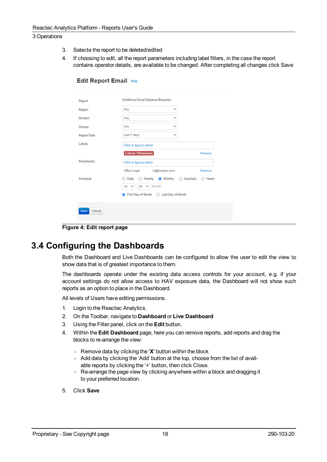3. Selecte the report to be deleted/edited

**Edit Report Email Help** 

4. If choosing to edit, all the report parameters including label filters, in the case the report contains operator details, are available to be changed. After completing all changes click Save

| Report       | Workforce Social Distance Breaches       |                          |
|--------------|------------------------------------------|--------------------------|
| Region       | Any<br>v                                 |                          |
| Division     | Any<br>v                                 |                          |
| Groups       | Any<br>v                                 |                          |
| Report Date  | Last 7 days<br>v                         |                          |
| Labels       | Click or type to select                  |                          |
|              | <b>Cohort: Flintstones</b>               | Remove                   |
| Recipient(s) | Click or type to select                  |                          |
|              | Office Login io@reactec.com              | Remove                   |
| Schedule     | ◯ Weekly (a) Monthly<br>Daily<br>$\circ$ | Quarterly<br>Yearly<br>O |
|              | $14 \times 34 \times$ hh:mm              |                          |
|              | First Day of Month  C Last Day of Month  |                          |

**Figure 4: Edit report page**

## <span id="page-21-0"></span>**3.4 Configuring the Dashboards**

Both the Dashboard and Live Dashboards can be configured to allow the user to edit the view to show data that is of greatest importance to them.

The dashboards operate under the existing data access controls for your account, e.g. if your account settings do not allow access to HAV exposure data, the Dashboard will not show such reports as an option to place in the Dashboard.

All levels of Users have editing permissions.

- 1. Login to the Reactec Analytics.
- 2. On the Toolbar, navigate to **Dashboard** or **Live Dashboard**
- 3. Using the Filter panel, click on the **Edit** button.
- 4. Within the **Edit Dashboard** page, here you can remove reports, add reports and drag the blocks to re-arrange the view:
	- <sup>o</sup> Remove data by clicking the '**X**' button within the block
	- Add data by clicking the 'Add' button at the top, choose from the list of available reports by clicking the '+' button, then click Close.
	- Re-arrange the page view by clicking anywhere within a block and dragging it to your preferred location.
- 5. Click **Save**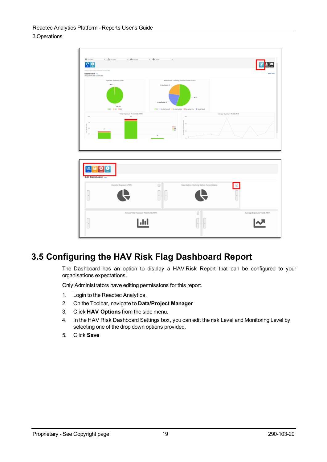

## <span id="page-22-0"></span>**3.5 Configuring the HAV Risk Flag Dashboard Report**

The Dashboard has an option to display a HAV Risk Report that can be configured to your organisations expectations.

Only Administrators have editing permissions for this report.

- 1. Login to the Reactec Analytics.
- 2. On the Toolbar, navigate to **Data/Project Manager**
- 3. Click **HAV Options** from the side menu.
- 4. In the HAV Risk Dashboard Settings box, you can edit the risk Level and Monitoring Level by selecting one of the drop down options provided.
- 5. Click **Save**